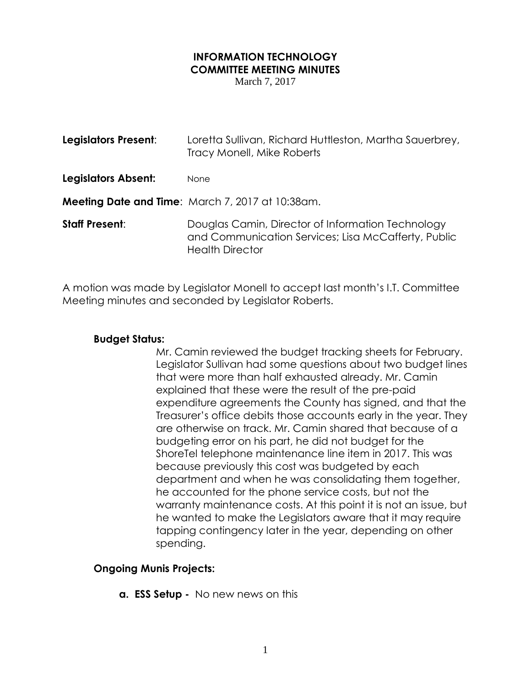# **INFORMATION TECHNOLOGY COMMITTEE MEETING MINUTES**

March 7, 2017

| Legislators Present:  | Loretta Sullivan, Richard Huttleston, Martha Sauerbrey,<br>Tracy Monell, Mike Roberts                                              |
|-----------------------|------------------------------------------------------------------------------------------------------------------------------------|
| Legislators Absent:   | None                                                                                                                               |
|                       | <b>Meeting Date and Time:</b> March 7, 2017 at 10:38am.                                                                            |
| <b>Staff Present:</b> | Douglas Camin, Director of Information Technology<br>and Communication Services; Lisa McCafferty, Public<br><b>Health Director</b> |

A motion was made by Legislator Monell to accept last month's I.T. Committee Meeting minutes and seconded by Legislator Roberts.

#### **Budget Status:**

Mr. Camin reviewed the budget tracking sheets for February. Legislator Sullivan had some questions about two budget lines that were more than half exhausted already. Mr. Camin explained that these were the result of the pre-paid expenditure agreements the County has signed, and that the Treasurer's office debits those accounts early in the year. They are otherwise on track. Mr. Camin shared that because of a budgeting error on his part, he did not budget for the ShoreTel telephone maintenance line item in 2017. This was because previously this cost was budgeted by each department and when he was consolidating them together, he accounted for the phone service costs, but not the warranty maintenance costs. At this point it is not an issue, but he wanted to make the Legislators aware that it may require tapping contingency later in the year, depending on other spending.

#### **Ongoing Munis Projects:**

**a. ESS Setup -** No new news on this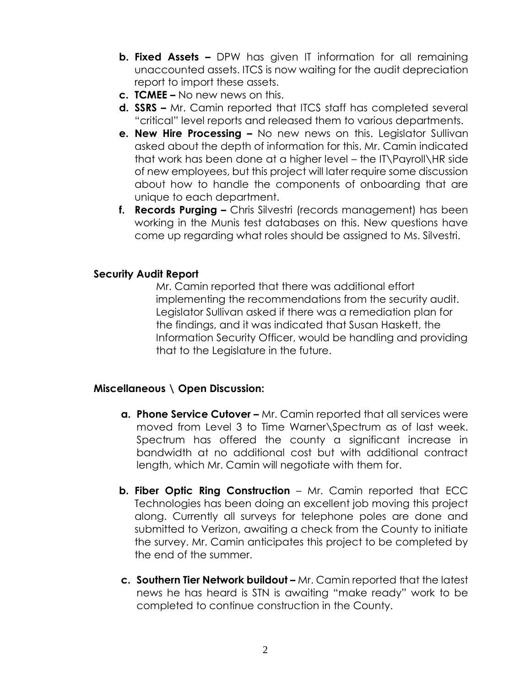- **b. Fixed Assets –** DPW has given IT information for all remaining unaccounted assets. ITCS is now waiting for the audit depreciation report to import these assets.
- **c. TCMEE –** No new news on this.
- **d. SSRS –** Mr. Camin reported that ITCS staff has completed several "critical" level reports and released them to various departments.
- **e. New Hire Processing –** No new news on this. Legislator Sullivan asked about the depth of information for this. Mr. Camin indicated that work has been done at a higher level – the IT\Payroll\HR side of new employees, but this project will later require some discussion about how to handle the components of onboarding that are unique to each department.
- **f. Records Purging –** Chris Silvestri (records management) has been working in the Munis test databases on this. New questions have come up regarding what roles should be assigned to Ms. Silvestri.

### **Security Audit Report**

Mr. Camin reported that there was additional effort implementing the recommendations from the security audit. Legislator Sullivan asked if there was a remediation plan for the findings, and it was indicated that Susan Haskett, the Information Security Officer, would be handling and providing that to the Legislature in the future.

## **Miscellaneous \ Open Discussion:**

- **a. Phone Service Cutover –** Mr. Camin reported that all services were moved from Level 3 to Time Warner\Spectrum as of last week. Spectrum has offered the county a significant increase in bandwidth at no additional cost but with additional contract length, which Mr. Camin will negotiate with them for.
- **b. Fiber Optic Ring Construction** Mr. Camin reported that ECC Technologies has been doing an excellent job moving this project along. Currently all surveys for telephone poles are done and submitted to Verizon, awaiting a check from the County to initiate the survey. Mr. Camin anticipates this project to be completed by the end of the summer.
- **c. Southern Tier Network buildout –** Mr. Camin reported that the latest news he has heard is STN is awaiting "make ready" work to be completed to continue construction in the County.